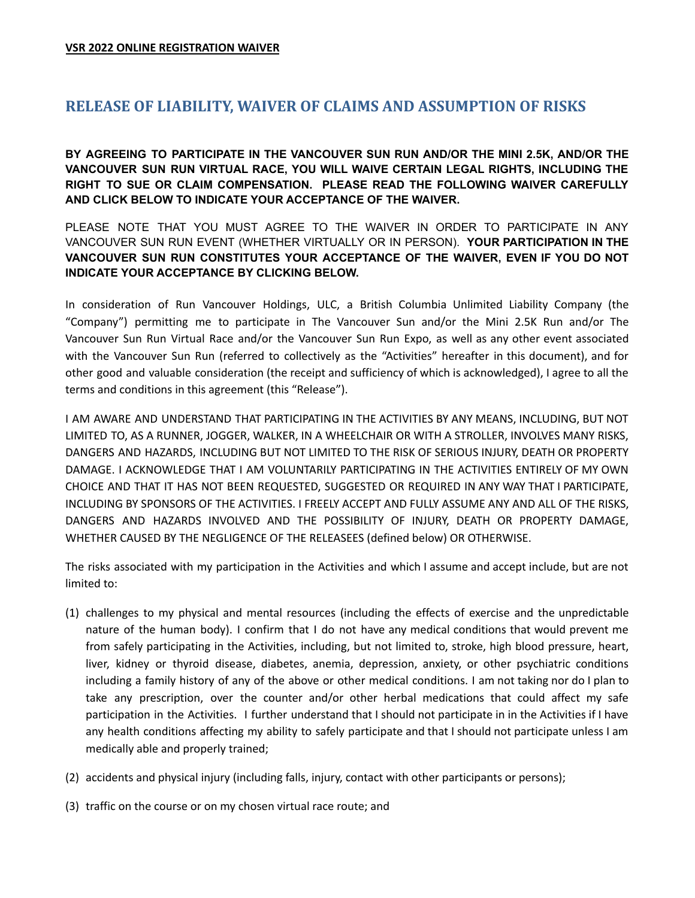## **RELEASE OF LIABILITY, WAIVER OF CLAIMS AND ASSUMPTION OF RISKS**

**BY AGREEING TO PARTICIPATE IN THE VANCOUVER SUN RUN AND/OR THE MINI 2.5K, AND/OR THE VANCOUVER SUN RUN VIRTUAL RACE, YOU WILL WAIVE CERTAIN LEGAL RIGHTS, INCLUDING THE RIGHT TO SUE OR CLAIM COMPENSATION. PLEASE READ THE FOLLOWING WAIVER CAREFULLY AND CLICK BELOW TO INDICATE YOUR ACCEPTANCE OF THE WAIVER.**

PLEASE NOTE THAT YOU MUST AGREE TO THE WAIVER IN ORDER TO PARTICIPATE IN ANY VANCOUVER SUN RUN EVENT (WHETHER VIRTUALLY OR IN PERSON). **YOUR PARTICIPATION IN THE VANCOUVER SUN RUN CONSTITUTES YOUR ACCEPTANCE OF THE WAIVER, EVEN IF YOU DO NOT INDICATE YOUR ACCEPTANCE BY CLICKING BELOW.**

In consideration of Run Vancouver Holdings, ULC, a British Columbia Unlimited Liability Company (the "Company") permitting me to participate in The Vancouver Sun and/or the Mini 2.5K Run and/or The Vancouver Sun Run Virtual Race and/or the Vancouver Sun Run Expo, as well as any other event associated with the Vancouver Sun Run (referred to collectively as the "Activities" hereafter in this document), and for other good and valuable consideration (the receipt and sufficiency of which is acknowledged), I agree to all the terms and conditions in this agreement (this "Release").

I AM AWARE AND UNDERSTAND THAT PARTICIPATING IN THE ACTIVITIES BY ANY MEANS, INCLUDING, BUT NOT LIMITED TO, AS A RUNNER, JOGGER, WALKER, IN A WHEELCHAIR OR WITH A STROLLER, INVOLVES MANY RISKS, DANGERS AND HAZARDS, INCLUDING BUT NOT LIMITED TO THE RISK OF SERIOUS INJURY, DEATH OR PROPERTY DAMAGE. I ACKNOWLEDGE THAT I AM VOLUNTARILY PARTICIPATING IN THE ACTIVITIES ENTIRELY OF MY OWN CHOICE AND THAT IT HAS NOT BEEN REQUESTED, SUGGESTED OR REQUIRED IN ANY WAY THAT I PARTICIPATE, INCLUDING BY SPONSORS OF THE ACTIVITIES. I FREELY ACCEPT AND FULLY ASSUME ANY AND ALL OF THE RISKS, DANGERS AND HAZARDS INVOLVED AND THE POSSIBILITY OF INJURY, DEATH OR PROPERTY DAMAGE, WHETHER CAUSED BY THE NEGLIGENCE OF THE RELEASEES (defined below) OR OTHERWISE.

The risks associated with my participation in the Activities and which I assume and accept include, but are not limited to:

- (1) challenges to my physical and mental resources (including the effects of exercise and the unpredictable nature of the human body). I confirm that I do not have any medical conditions that would prevent me from safely participating in the Activities, including, but not limited to, stroke, high blood pressure, heart, liver, kidney or thyroid disease, diabetes, anemia, depression, anxiety, or other psychiatric conditions including a family history of any of the above or other medical conditions. I am not taking nor do I plan to take any prescription, over the counter and/or other herbal medications that could affect my safe participation in the Activities. I further understand that I should not participate in in the Activities if I have any health conditions affecting my ability to safely participate and that I should not participate unless I am medically able and properly trained;
- (2) accidents and physical injury (including falls, injury, contact with other participants or persons);
- (3) traffic on the course or on my chosen virtual race route; and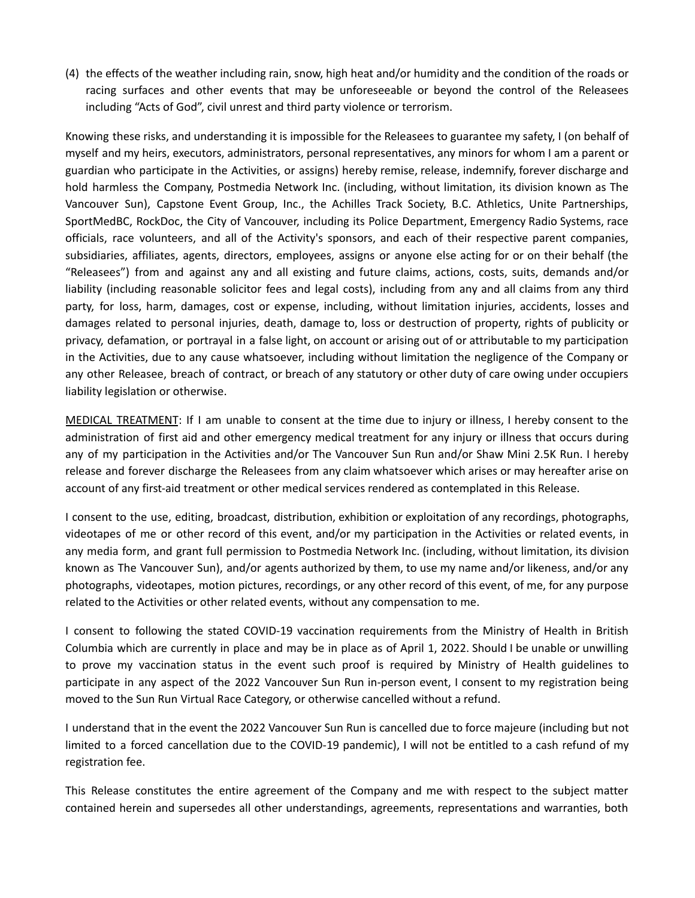(4) the effects of the weather including rain, snow, high heat and/or humidity and the condition of the roads or racing surfaces and other events that may be unforeseeable or beyond the control of the Releasees including "Acts of God", civil unrest and third party violence or terrorism.

Knowing these risks, and understanding it is impossible for the Releasees to guarantee my safety, I (on behalf of myself and my heirs, executors, administrators, personal representatives, any minors for whom I am a parent or guardian who participate in the Activities, or assigns) hereby remise, release, indemnify, forever discharge and hold harmless the Company, Postmedia Network Inc. (including, without limitation, its division known as The Vancouver Sun), Capstone Event Group, Inc., the Achilles Track Society, B.C. Athletics, Unite Partnerships, SportMedBC, RockDoc, the City of Vancouver, including its Police Department, Emergency Radio Systems, race officials, race volunteers, and all of the Activity's sponsors, and each of their respective parent companies, subsidiaries, affiliates, agents, directors, employees, assigns or anyone else acting for or on their behalf (the "Releasees") from and against any and all existing and future claims, actions, costs, suits, demands and/or liability (including reasonable solicitor fees and legal costs), including from any and all claims from any third party, for loss, harm, damages, cost or expense, including, without limitation injuries, accidents, losses and damages related to personal injuries, death, damage to, loss or destruction of property, rights of publicity or privacy, defamation, or portrayal in a false light, on account or arising out of or attributable to my participation in the Activities, due to any cause whatsoever, including without limitation the negligence of the Company or any other Releasee, breach of contract, or breach of any statutory or other duty of care owing under occupiers liability legislation or otherwise.

MEDICAL TREATMENT: If I am unable to consent at the time due to injury or illness, I hereby consent to the administration of first aid and other emergency medical treatment for any injury or illness that occurs during any of my participation in the Activities and/or The Vancouver Sun Run and/or Shaw Mini 2.5K Run. I hereby release and forever discharge the Releasees from any claim whatsoever which arises or may hereafter arise on account of any first-aid treatment or other medical services rendered as contemplated in this Release.

I consent to the use, editing, broadcast, distribution, exhibition or exploitation of any recordings, photographs, videotapes of me or other record of this event, and/or my participation in the Activities or related events, in any media form, and grant full permission to Postmedia Network Inc. (including, without limitation, its division known as The Vancouver Sun), and/or agents authorized by them, to use my name and/or likeness, and/or any photographs, videotapes, motion pictures, recordings, or any other record of this event, of me, for any purpose related to the Activities or other related events, without any compensation to me.

I consent to following the stated COVID-19 vaccination requirements from the Ministry of Health in British Columbia which are currently in place and may be in place as of April 1, 2022. Should I be unable or unwilling to prove my vaccination status in the event such proof is required by Ministry of Health guidelines to participate in any aspect of the 2022 Vancouver Sun Run in-person event, I consent to my registration being moved to the Sun Run Virtual Race Category, or otherwise cancelled without a refund.

I understand that in the event the 2022 Vancouver Sun Run is cancelled due to force majeure (including but not limited to a forced cancellation due to the COVID-19 pandemic), I will not be entitled to a cash refund of my registration fee.

This Release constitutes the entire agreement of the Company and me with respect to the subject matter contained herein and supersedes all other understandings, agreements, representations and warranties, both